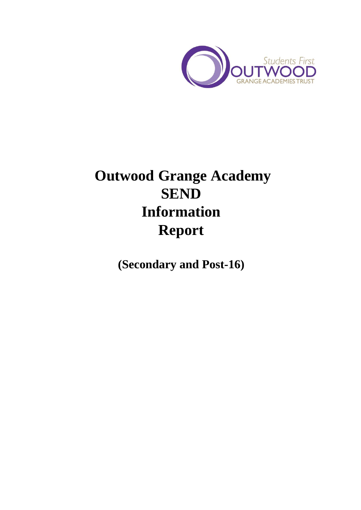

# **Outwood Grange Academy SEND Information Report**

**(Secondary and Post-16)**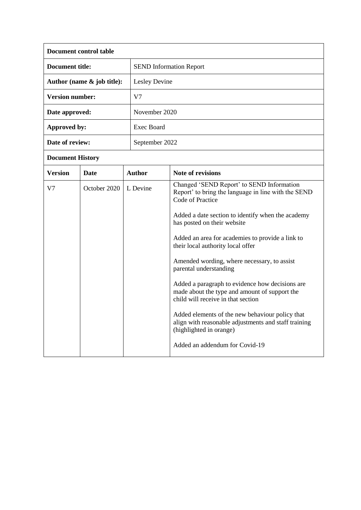| Document control table        |                                |  |
|-------------------------------|--------------------------------|--|
| Document title:               | <b>SEND</b> Information Report |  |
| Author (name $\&$ job title): | Lesley Devine                  |  |
| <b>Version number:</b>        | V7                             |  |
| Date approved:                | November 2020                  |  |
| Approved by:                  | Exec Board                     |  |
| Date of review:               | September 2022                 |  |

# **Document History**

| <b>Version</b> | <b>Date</b>  | <b>Author</b> | Note of revisions                                                                                                                      |
|----------------|--------------|---------------|----------------------------------------------------------------------------------------------------------------------------------------|
| V7             | October 2020 | L Devine      | Changed 'SEND Report' to SEND Information<br>Report' to bring the language in line with the SEND<br>Code of Practice                   |
|                |              |               | Added a date section to identify when the academy<br>has posted on their website                                                       |
|                |              |               | Added an area for academies to provide a link to<br>their local authority local offer                                                  |
|                |              |               | Amended wording, where necessary, to assist<br>parental understanding                                                                  |
|                |              |               | Added a paragraph to evidence how decisions are<br>made about the type and amount of support the<br>child will receive in that section |
|                |              |               | Added elements of the new behaviour policy that<br>align with reasonable adjustments and staff training<br>(highlighted in orange)     |
|                |              |               | Added an addendum for Covid-19                                                                                                         |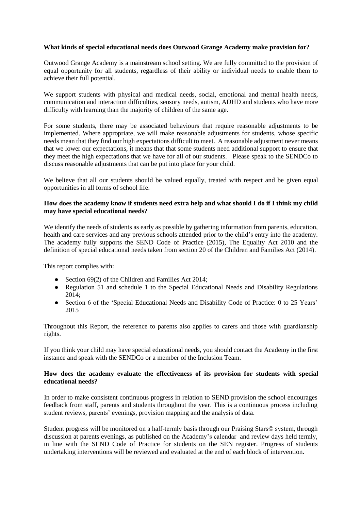# **What kinds of special educational needs does Outwood Grange Academy make provision for?**

Outwood Grange Academy is a mainstream school setting. We are fully committed to the provision of equal opportunity for all students, regardless of their ability or individual needs to enable them to achieve their full potential.

We support students with physical and medical needs, social, emotional and mental health needs, communication and interaction difficulties, sensory needs, autism, ADHD and students who have more difficulty with learning than the majority of children of the same age.

For some students, there may be associated behaviours that require reasonable adjustments to be implemented. Where appropriate, we will make reasonable adjustments for students, whose specific needs mean that they find our high expectations difficult to meet. A reasonable adjustment never means that we lower our expectations, it means that that some students need additional support to ensure that they meet the high expectations that we have for all of our students. Please speak to the SENDCo to discuss reasonable adjustments that can be put into place for your child.

We believe that all our students should be valued equally, treated with respect and be given equal opportunities in all forms of school life.

#### **How does the academy know if students need extra help and what should I do if I think my child may have special educational needs?**

We identify the needs of students as early as possible by gathering information from parents, education, health and care services and any previous schools attended prior to the child's entry into the academy. The academy fully supports the SEND Code of Practice (2015), The Equality Act 2010 and the definition of special educational needs taken from section 20 of the Children and Families Act (2014).

This report complies with:

- Section 69(2) of the Children and Families Act 2014;
- Regulation 51 and schedule 1 to the Special Educational Needs and Disability Regulations 2014;
- Section 6 of the 'Special Educational Needs and Disability Code of Practice: 0 to 25 Years' 2015

Throughout this Report, the reference to parents also applies to carers and those with guardianship rights.

If you think your child may have special educational needs, you should contact the Academy in the first instance and speak with the SENDCo or a member of the Inclusion Team.

#### **How does the academy evaluate the effectiveness of its provision for students with special educational needs?**

In order to make consistent continuous progress in relation to SEND provision the school encourages feedback from staff, parents and students throughout the year. This is a continuous process including student reviews, parents' evenings, provision mapping and the analysis of data.

Student progress will be monitored on a half-termly basis through our Praising Stars© system, through discussion at parents evenings, as published on the Academy's calendar and review days held termly, in line with the SEND Code of Practice for students on the SEN register. Progress of students undertaking interventions will be reviewed and evaluated at the end of each block of intervention.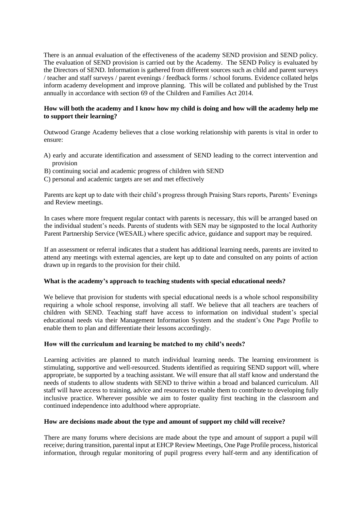There is an annual evaluation of the effectiveness of the academy SEND provision and SEND policy. The evaluation of SEND provision is carried out by the Academy. The SEND Policy is evaluated by the Directors of SEND. Information is gathered from different sources such as child and parent surveys / teacher and staff surveys / parent evenings / feedback forms / school forums. Evidence collated helps inform academy development and improve planning. This will be collated and published by the Trust annually in accordance with section 69 of the Children and Families Act 2014.

# **How will both the academy and I know how my child is doing and how will the academy help me to support their learning?**

Outwood Grange Academy believes that a close working relationship with parents is vital in order to ensure:

- A) early and accurate identification and assessment of SEND leading to the correct intervention and provision
- B) continuing social and academic progress of children with SEND
- C) personal and academic targets are set and met effectively

Parents are kept up to date with their child's progress through Praising Stars reports, Parents' Evenings and Review meetings.

In cases where more frequent regular contact with parents is necessary, this will be arranged based on the individual student's needs. Parents of students with SEN may be signposted to the local Authority Parent Partnership Service (WESAIL) where specific advice, guidance and support may be required.

If an assessment or referral indicates that a student has additional learning needs, parents are invited to attend any meetings with external agencies, are kept up to date and consulted on any points of action drawn up in regards to the provision for their child.

#### **What is the academy's approach to teaching students with special educational needs?**

We believe that provision for students with special educational needs is a whole school responsibility requiring a whole school response, involving all staff. We believe that all teachers are teachers of children with SEND. Teaching staff have access to information on individual student's special educational needs via their Management Information System and the student's One Page Profile to enable them to plan and differentiate their lessons accordingly.

#### **How will the curriculum and learning be matched to my child's needs?**

Learning activities are planned to match individual learning needs. The learning environment is stimulating, supportive and well-resourced. Students identified as requiring SEND support will, where appropriate, be supported by a teaching assistant. We will ensure that all staff know and understand the needs of students to allow students with SEND to thrive within a broad and balanced curriculum. All staff will have access to training, advice and resources to enable them to contribute to developing fully inclusive practice. Wherever possible we aim to foster quality first teaching in the classroom and continued independence into adulthood where appropriate.

#### **How are decisions made about the type and amount of support my child will receive?**

There are many forums where decisions are made about the type and amount of support a pupil will receive; during transition, parental input at EHCP Review Meetings, One Page Profile process, historical information, through regular monitoring of pupil progress every half-term and any identification of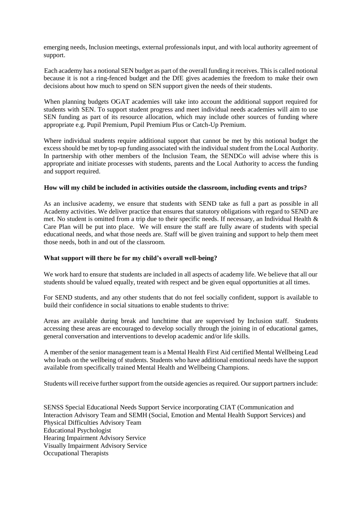emerging needs, Inclusion meetings, external professionals input, and with local authority agreement of support.

Each academy has a notional SEN budget as part of the overall funding it receives. This is called notional because it is not a ring-fenced budget and the DfE gives academies the freedom to make their own decisions about how much to spend on SEN support given the needs of their students.

When planning budgets OGAT academies will take into account the additional support required for students with SEN. To support student progress and meet individual needs academies will aim to use SEN funding as part of its resource allocation, which may include other sources of funding where appropriate e.g. Pupil Premium, Pupil Premium Plus or Catch-Up Premium.

Where individual students require additional support that cannot be met by this notional budget the excess should be met by top-up funding associated with the individual student from the Local Authority. In partnership with other members of the Inclusion Team, the SENDCo will advise where this is appropriate and initiate processes with students, parents and the Local Authority to access the funding and support required.

#### **How will my child be included in activities outside the classroom, including events and trips?**

As an inclusive academy, we ensure that students with SEND take as full a part as possible in all Academy activities. We deliver practice that ensures that statutory obligations with regard to SEND are met. No student is omitted from a trip due to their specific needs. If necessary, an Individual Health & Care Plan will be put into place. We will ensure the staff are fully aware of students with special educational needs, and what those needs are. Staff will be given training and support to help them meet those needs, both in and out of the classroom.

#### **What support will there be for my child's overall well-being?**

We work hard to ensure that students are included in all aspects of academy life. We believe that all our students should be valued equally, treated with respect and be given equal opportunities at all times.

For SEND students, and any other students that do not feel socially confident, support is available to build their confidence in social situations to enable students to thrive:

Areas are available during break and lunchtime that are supervised by Inclusion staff. Students accessing these areas are encouraged to develop socially through the joining in of educational games, general conversation and interventions to develop academic and/or life skills.

A member of the senior management team is a Mental Health First Aid certified Mental Wellbeing Lead who leads on the wellbeing of students. Students who have additional emotional needs have the support available from specifically trained Mental Health and Wellbeing Champions.

Students will receive further support from the outside agencies as required. Our support partners include:

SENSS Special Educational Needs Support Service incorporating CIAT (Communication and Interaction Advisory Team and SEMH (Social, Emotion and Mental Health Support Services) and Physical Difficulties Advisory Team Educational Psychologist Hearing Impairment Advisory Service Visually Impairment Advisory Service Occupational Therapists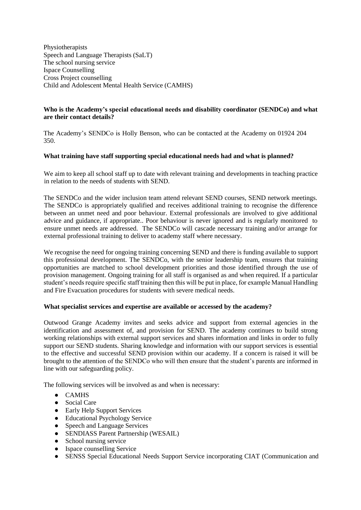Physiotherapists Speech and Language Therapists (SaLT) The school nursing service Ispace Counselling Cross Project counselling Child and Adolescent Mental Health Service (CAMHS)

# **Who is the Academy's special educational needs and disability coordinator (SENDCo) and what are their contact details?**

The Academy's SENDCo is Holly Benson, who can be contacted at the Academy on 01924 204 350.

# **What training have staff supporting special educational needs had and what is planned?**

We aim to keep all school staff up to date with relevant training and developments in teaching practice in relation to the needs of students with SEND.

The SENDCo and the wider inclusion team attend relevant SEND courses, SEND network meetings. The SENDCo is appropriately qualified and receives additional training to recognise the difference between an unmet need and poor behaviour. External professionals are involved to give additional advice and guidance, if appropriate.. Poor behaviour is never ignored and is regularly monitored to ensure unmet needs are addressed. The SENDCo will cascade necessary training and/or arrange for external professional training to deliver to academy staff where necessary.

We recognise the need for ongoing training concerning SEND and there is funding available to support this professional development. The SENDCo, with the senior leadership team, ensures that training opportunities are matched to school development priorities and those identified through the use of provision management. Ongoing training for all staff is organised as and when required. If a particular student's needs require specific staff training then this will be put in place, for example Manual Handling and Fire Evacuation procedures for students with severe medical needs.

#### **What specialist services and expertise are available or accessed by the academy?**

Outwood Grange Academy invites and seeks advice and support from external agencies in the identification and assessment of, and provision for SEND. The academy continues to build strong working relationships with external support services and shares information and links in order to fully support our SEND students. Sharing knowledge and information with our support services is essential to the effective and successful SEND provision within our academy. If a concern is raised it will be brought to the attention of the SENDCo who will then ensure that the student's parents are informed in line with our safeguarding policy.

The following services will be involved as and when is necessary:

- CAMHS
- Social Care
- Early Help Support Services
- Educational Psychology Service
- Speech and Language Services
- SENDIASS Parent Partnership (WESAIL)
- School nursing service
- Ispace counselling Service
- SENSS Special Educational Needs Support Service incorporating CIAT (Communication and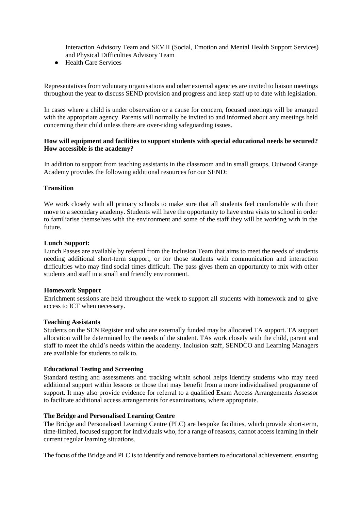Interaction Advisory Team and SEMH (Social, Emotion and Mental Health Support Services) and Physical Difficulties Advisory Team

● Health Care Services

Representatives from voluntary organisations and other external agencies are invited to liaison meetings throughout the year to discuss SEND provision and progress and keep staff up to date with legislation.

In cases where a child is under observation or a cause for concern, focused meetings will be arranged with the appropriate agency. Parents will normally be invited to and informed about any meetings held concerning their child unless there are over-riding safeguarding issues.

#### **How will equipment and facilities to support students with special educational needs be secured? How accessible is the academy?**

In addition to support from teaching assistants in the classroom and in small groups, Outwood Grange Academy provides the following additional resources for our SEND:

#### **Transition**

We work closely with all primary schools to make sure that all students feel comfortable with their move to a secondary academy. Students will have the opportunity to have extra visits to school in order to familiarise themselves with the environment and some of the staff they will be working with in the future.

#### **Lunch Support:**

Lunch Passes are available by referral from the Inclusion Team that aims to meet the needs of students needing additional short-term support, or for those students with communication and interaction difficulties who may find social times difficult. The pass gives them an opportunity to mix with other students and staff in a small and friendly environment.

#### **Homework Support**

Enrichment sessions are held throughout the week to support all students with homework and to give access to ICT when necessary.

#### **Teaching Assistants**

Students on the SEN Register and who are externally funded may be allocated TA support. TA support allocation will be determined by the needs of the student. TAs work closely with the child, parent and staff to meet the child's needs within the academy. Inclusion staff, SENDCO and Learning Managers are available for students to talk to.

#### **Educational Testing and Screening**

Standard testing and assessments and tracking within school helps identify students who may need additional support within lessons or those that may benefit from a more individualised programme of support. It may also provide evidence for referral to a qualified Exam Access Arrangements Assessor to facilitate additional access arrangements for examinations, where appropriate.

#### **The Bridge and Personalised Learning Centre**

The Bridge and Personalised Learning Centre (PLC) are bespoke facilities, which provide short-term, time-limited, focused support for individuals who, for a range of reasons, cannot access learning in their current regular learning situations.

The focus of the Bridge and PLC is to identify and remove barriers to educational achievement, ensuring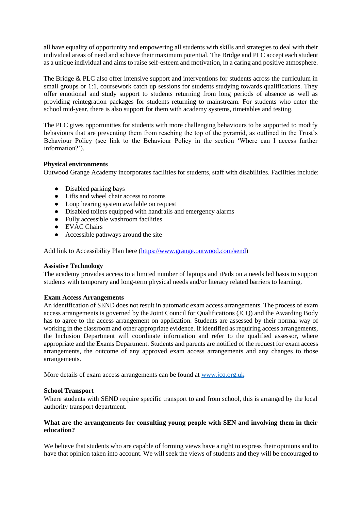all have equality of opportunity and empowering all students with skills and strategies to deal with their individual areas of need and achieve their maximum potential. The Bridge and PLC accept each student as a unique individual and aims to raise self-esteem and motivation, in a caring and positive atmosphere.

The Bridge & PLC also offer intensive support and interventions for students across the curriculum in small groups or 1:1, coursework catch up sessions for students studying towards qualifications. They offer emotional and study support to students returning from long periods of absence as well as providing reintegration packages for students returning to mainstream. For students who enter the school mid-year, there is also support for them with academy systems, timetables and testing.

The PLC gives opportunities for students with more challenging behaviours to be supported to modify behaviours that are preventing them from reaching the top of the pyramid, as outlined in the Trust's Behaviour Policy (see link to the Behaviour Policy in the section 'Where can I access further information?').

# **Physical environments**

Outwood Grange Academy incorporates facilities for students, staff with disabilities. Facilities include:

- Disabled parking bays
- Lifts and wheel chair access to rooms
- Loop hearing system available on request
- Disabled toilets equipped with handrails and emergency alarms
- Fully accessible washroom facilities
- EVAC Chairs
- Accessible pathways around the site

Add link to Accessibility Plan here [\(https://www.grange.outwood.com/send\)](https://www.grange.outwood.com/send)

#### **Assistive Technology**

The academy provides access to a limited number of laptops and iPads on a needs led basis to support students with temporary and long-term physical needs and/or literacy related barriers to learning.

#### **Exam Access Arrangements**

An identification of SEND does not result in automatic exam access arrangements. The process of exam access arrangements is governed by the Joint Council for Qualifications (JCQ) and the Awarding Body has to agree to the access arrangement on application. Students are assessed by their normal way of working in the classroom and other appropriate evidence. If identified as requiring access arrangements, the Inclusion Department will coordinate information and refer to the qualified assessor, where appropriate and the Exams Department. Students and parents are notified of the request for exam access arrangements, the outcome of any approved exam access arrangements and any changes to those arrangements.

More details of exam access arrangements can be found at www.jcq.org.uk

#### **School Transport**

Where students with SEND require specific transport to and from school, this is arranged by the local authority transport department.

#### **What are the arrangements for consulting young people with SEN and involving them in their education?**

We believe that students who are capable of forming views have a right to express their opinions and to have that opinion taken into account. We will seek the views of students and they will be encouraged to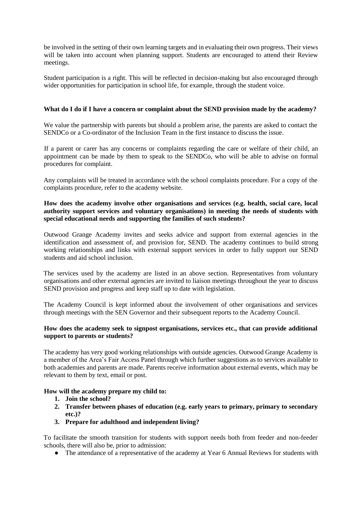be involved in the setting of their own learning targets and in evaluating their own progress. Their views will be taken into account when planning support. Students are encouraged to attend their Review meetings.

Student participation is a right. This will be reflected in decision-making but also encouraged through wider opportunities for participation in school life*,* for example, through the student voice.

# **What do I do if I have a concern or complaint about the SEND provision made by the academy?**

We value the partnership with parents but should a problem arise, the parents are asked to contact the SENDCo or a Co-ordinator of the Inclusion Team in the first instance to discuss the issue.

If a parent or carer has any concerns or complaints regarding the care or welfare of their child, an appointment can be made by them to speak to the SENDCo, who will be able to advise on formal procedures for complaint.

Any complaints will be treated in accordance with the school complaints procedure. For a copy of the complaints procedure, refer to the academy website.

# **How does the academy involve other organisations and services (e.g. health, social care, local authority support services and voluntary organisations) in meeting the needs of students with special educational needs and supporting the families of such students?**

Outwood Grange Academy invites and seeks advice and support from external agencies in the identification and assessment of, and provision for, SEND. The academy continues to build strong working relationships and links with external support services in order to fully support our SEND students and aid school inclusion.

The services used by the academy are listed in an above section. Representatives from voluntary organisations and other external agencies are invited to liaison meetings throughout the year to discuss SEND provision and progress and keep staff up to date with legislation.

The Academy Council is kept informed about the involvement of other organisations and services through meetings with the SEN Governor and their subsequent reports to the Academy Council.

#### **How does the academy seek to signpost organisations, services etc., that can provide additional support to parents or students?**

The academy has very good working relationships with outside agencies. Outwood Grange Academy is a member of the Area's Fair Access Panel through which further suggestions as to services available to both academies and parents are made. Parents receive information about external events, which may be relevant to them by text, email or post.

#### **How will the academy prepare my child to:**

- **1. Join the school?**
- **2. Transfer between phases of education (e.g. early years to primary, primary to secondary etc.)?**
- **3. Prepare for adulthood and independent living?**

To facilitate the smooth transition for students with support needs both from feeder and non-feeder schools, there will also be, prior to admission:

• The attendance of a representative of the academy at Year 6 Annual Reviews for students with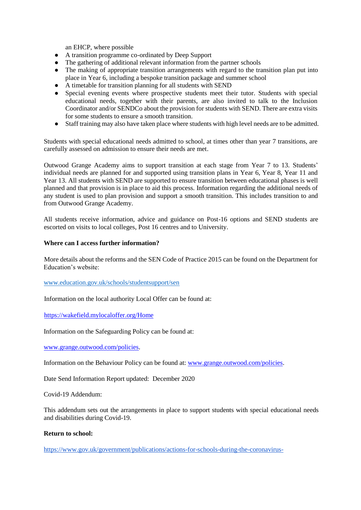an EHCP, where possible

- A transition programme co-ordinated by Deep Support
- The gathering of additional relevant information from the partner schools
- The making of appropriate transition arrangements with regard to the transition plan put into place in Year 6, including a bespoke transition package and summer school
- A timetable for transition planning for all students with SEND
- Special evening events where prospective students meet their tutor. Students with special educational needs, together with their parents, are also invited to talk to the Inclusion Coordinator and/or SENDCo about the provision for students with SEND. There are extra visits for some students to ensure a smooth transition.
- Staff training may also have taken place where students with high level needs are to be admitted.

Students with special educational needs admitted to school, at times other than year 7 transitions, are carefully assessed on admission to ensure their needs are met.

Outwood Grange Academy aims to support transition at each stage from Year 7 to 13. Students' individual needs are planned for and supported using transition plans in Year 6, Year 8, Year 11 and Year 13. All students with SEND are supported to ensure transition between educational phases is well planned and that provision is in place to aid this process. Information regarding the additional needs of any student is used to plan provision and support a smooth transition. This includes transition to and from Outwood Grange Academy.

All students receive information, advice and guidance on Post-16 options and SEND students are escorted on visits to local colleges, Post 16 centres and to University.

#### **Where can I access further information?**

More details about the reforms and the SEN Code of Practice 2015 can be found on the Department for Education's website:

www.education.gov.uk/schools/studentsupport/sen

Information on the local authority Local Offer can be found at:

<https://wakefield.mylocaloffer.org/Home>

Information on the Safeguarding Policy can be found at:

[www.grange.outwood.com/policies.](http://www.grange.outwood.com/policies)

Information on the Behaviour Policy can be found at: [www.grange.outwood.com/policies.](http://www.grange.outwood.com/policies)

Date Send Information Report updated: December 2020

Covid-19 Addendum:

This addendum sets out the arrangements in place to support students with special educational needs and disabilities during Covid-19.

#### **Return to school:**

[https://www.gov.uk/government/publications/actions-for-schools-during-the-coronavirus-](https://www.gov.uk/government/publications/actions-for-schools-during-the-coronavirus-outbreak#attendance)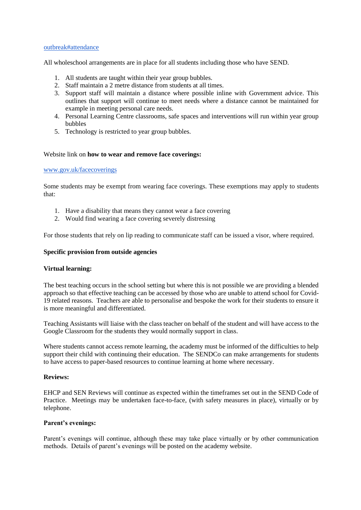#### [outbreak#attendance](https://www.gov.uk/government/publications/actions-for-schools-during-the-coronavirus-outbreak#attendance)

All wholeschool arrangements are in place for all students including those who have SEND.

- 1. All students are taught within their year group bubbles.
- 2. Staff maintain a 2 metre distance from students at all times.
- 3. Support staff will maintain a distance where possible inline with Government advice. This outlines that support will continue to meet needs where a distance cannot be maintained for example in meeting personal care needs.
- 4. Personal Learning Centre classrooms, safe spaces and interventions will run within year group bubbles
- 5. Technology is restricted to year group bubbles.

#### Website link on **how to wear and remove face coverings:**

#### [www.gov.uk/facecoverings](https://www.gov.uk/government/publications/face-coverings-when-to-wear-one-and-how-to-make-your-own/face-coverings-when-to-wear-one-and-how-to-make-your-own)

Some students may be exempt from wearing face coverings. These exemptions may apply to students that:

- 1. Have a disability that means they cannot wear a face covering
- 2. Would find wearing a face covering severely distressing

For those students that rely on lip reading to communicate staff can be issued a visor, where required.

#### **Specific provision from outside agencies**

#### **Virtual learning:**

The best teaching occurs in the school setting but where this is not possible we are providing a blended approach so that effective teaching can be accessed by those who are unable to attend school for Covid-19 related reasons. Teachers are able to personalise and bespoke the work for their students to ensure it is more meaningful and differentiated.

Teaching Assistants will liaise with the class teacher on behalf of the student and will have access to the Google Classroom for the students they would normally support in class.

Where students cannot access remote learning, the academy must be informed of the difficulties to help support their child with continuing their education. The SENDCo can make arrangements for students to have access to paper-based resources to continue learning at home where necessary.

#### **Reviews:**

EHCP and SEN Reviews will continue as expected within the timeframes set out in the SEND Code of Practice. Meetings may be undertaken face-to-face, (with safety measures in place), virtually or by telephone.

#### **Parent's evenings:**

Parent's evenings will continue, although these may take place virtually or by other communication methods. Details of parent's evenings will be posted on the academy website.